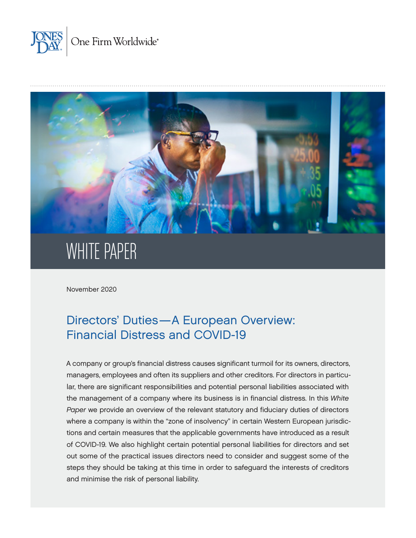



# WHITE PAPER

November 2020

# Directors' Duties—A European Overview: Financial Distress and COVID‑19

A company or group's financial distress causes significant turmoil for its owners, directors, managers, employees and often its suppliers and other creditors. For directors in particular, there are significant responsibilities and potential personal liabilities associated with the management of a company where its business is in financial distress. In this *White Paper* we provide an overview of the relevant statutory and fiduciary duties of directors where a company is within the "zone of insolvency" in certain Western European jurisdictions and certain measures that the applicable governments have introduced as a result of COVID‑19. We also highlight certain potential personal liabilities for directors and set out some of the practical issues directors need to consider and suggest some of the steps they should be taking at this time in order to safeguard the interests of creditors and minimise the risk of personal liability.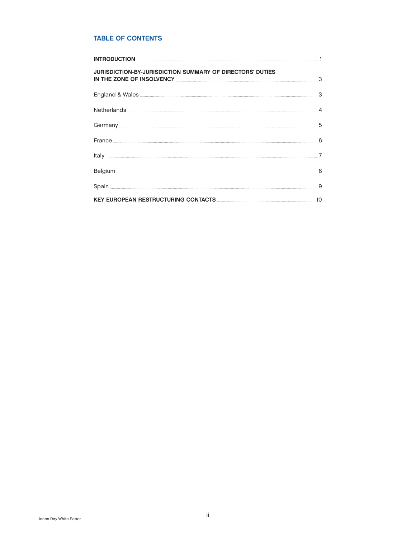## TABLE OF CONTENTS

| <b>JURISDICTION-BY-JURISDICTION SUMMARY OF DIRECTORS' DUTIES</b><br>IN THE ZONE OF INSOLVENCY <b>CONSUMERCY CONSUMERS</b>                                                                                                           |  |
|-------------------------------------------------------------------------------------------------------------------------------------------------------------------------------------------------------------------------------------|--|
| England & Wales <b>Manual According to the Contract Office</b> of the Contract of the Contract of the Contract of the Contract of the Contract of the Contract of the Contract of the Contract of the Contract of the Contract of t |  |
|                                                                                                                                                                                                                                     |  |
|                                                                                                                                                                                                                                     |  |
|                                                                                                                                                                                                                                     |  |
|                                                                                                                                                                                                                                     |  |
|                                                                                                                                                                                                                                     |  |
|                                                                                                                                                                                                                                     |  |
|                                                                                                                                                                                                                                     |  |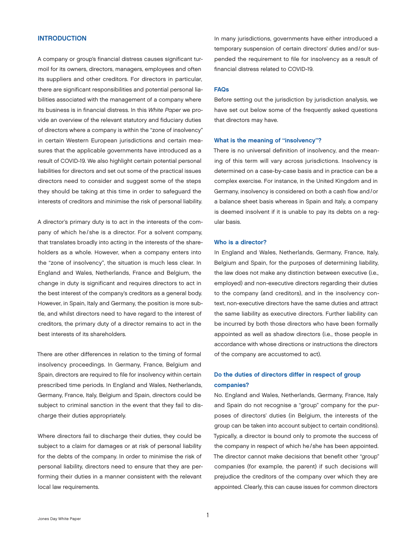#### <span id="page-2-0"></span>**INTRODUCTION**

A company or group's financial distress causes significant turmoil for its owners, directors, managers, employees and often its suppliers and other creditors. For directors in particular, there are significant responsibilities and potential personal liabilities associated with the management of a company where its business is in financial distress. In this White Paper we provide an overview of the relevant statutory and fiduciary duties of directors where a company is within the "zone of insolvency" in certain Western European jurisdictions and certain measures that the applicable governments have introduced as a result of COVID‑19. We also highlight certain potential personal liabilities for directors and set out some of the practical issues directors need to consider and suggest some of the steps they should be taking at this time in order to safeguard the interests of creditors and minimise the risk of personal liability.

A director's primary duty is to act in the interests of the company of which he/she is a director. For a solvent company, that translates broadly into acting in the interests of the shareholders as a whole. However, when a company enters into the "zone of insolvency", the situation is much less clear. In England and Wales, Netherlands, France and Belgium, the change in duty is significant and requires directors to act in the best interest of the company's creditors as a general body. However, in Spain, Italy and Germany, the position is more subtle, and whilst directors need to have regard to the interest of creditors, the primary duty of a director remains to act in the best interests of its shareholders.

There are other differences in relation to the timing of formal insolvency proceedings. In Germany, France, Belgium and Spain, directors are required to file for insolvency within certain prescribed time periods. In England and Wales, Netherlands, Germany, France, Italy, Belgium and Spain, directors could be subject to criminal sanction in the event that they fail to discharge their duties appropriately.

Where directors fail to discharge their duties, they could be subject to a claim for damages or at risk of personal liability for the debts of the company. In order to minimise the risk of personal liability, directors need to ensure that they are performing their duties in a manner consistent with the relevant local law requirements.

In many jurisdictions, governments have either introduced a temporary suspension of certain directors' duties and/or suspended the requirement to file for insolvency as a result of financial distress related to COVID‑19.

#### FAQs

Before setting out the jurisdiction by jurisdiction analysis, we have set out below some of the frequently asked questions that directors may have.

#### What is the meaning of "insolvency"?

There is no universal definition of insolvency, and the meaning of this term will vary across jurisdictions. Insolvency is determined on a case-by-case basis and in practice can be a complex exercise. For instance, in the United Kingdom and in Germany, insolvency is considered on both a cash flow and/or a balance sheet basis whereas in Spain and Italy, a company is deemed insolvent if it is unable to pay its debts on a regular basis.

#### Who is a director?

In England and Wales, Netherlands, Germany, France, Italy, Belgium and Spain, for the purposes of determining liability, the law does not make any distinction between executive (i.e., employed) and non-executive directors regarding their duties to the company (and creditors), and in the insolvency context, non-executive directors have the same duties and attract the same liability as executive directors. Further liability can be incurred by both those directors who have been formally appointed as well as shadow directors (i.e., those people in accordance with whose directions or instructions the directors of the company are accustomed to act).

# Do the duties of directors differ in respect of group companies?

No. England and Wales, Netherlands, Germany, France, Italy and Spain do not recognise a "group" company for the purposes of directors' duties (in Belgium, the interests of the group can be taken into account subject to certain conditions). Typically, a director is bound only to promote the success of the company in respect of which he/she has been appointed. The director cannot make decisions that benefit other "group" companies (for example, the parent) if such decisions will prejudice the creditors of the company over which they are appointed. Clearly, this can cause issues for common directors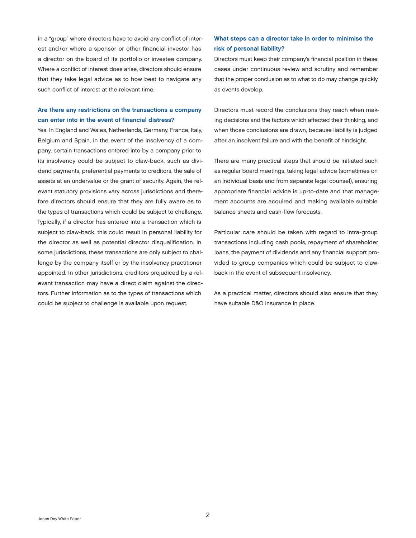in a "group" where directors have to avoid any conflict of interest and/or where a sponsor or other financial investor has a director on the board of its portfolio or investee company. Where a conflict of interest does arise, directors should ensure that they take legal advice as to how best to navigate any such conflict of interest at the relevant time.

# Are there any restrictions on the transactions a company can enter into in the event of financial distress?

Yes. In England and Wales, Netherlands, Germany, France, Italy, Belgium and Spain, in the event of the insolvency of a company, certain transactions entered into by a company prior to its insolvency could be subject to claw-back, such as dividend payments, preferential payments to creditors, the sale of assets at an undervalue or the grant of security. Again, the relevant statutory provisions vary across jurisdictions and therefore directors should ensure that they are fully aware as to the types of transactions which could be subject to challenge. Typically, if a director has entered into a transaction which is subject to claw-back, this could result in personal liability for the director as well as potential director disqualification. In some jurisdictions, these transactions are only subject to challenge by the company itself or by the insolvency practitioner appointed. In other jurisdictions, creditors prejudiced by a relevant transaction may have a direct claim against the directors. Further information as to the types of transactions which could be subject to challenge is available upon request.

# What steps can a director take in order to minimise the risk of personal liability?

Directors must keep their company's financial position in these cases under continuous review and scrutiny and remember that the proper conclusion as to what to do may change quickly as events develop.

Directors must record the conclusions they reach when making decisions and the factors which affected their thinking, and when those conclusions are drawn, because liability is judged after an insolvent failure and with the benefit of hindsight.

There are many practical steps that should be initiated such as regular board meetings, taking legal advice (sometimes on an individual basis and from separate legal counsel), ensuring appropriate financial advice is up-to-date and that management accounts are acquired and making available suitable balance sheets and cash-flow forecasts.

Particular care should be taken with regard to intra-group transactions including cash pools, repayment of shareholder loans, the payment of dividends and any financial support provided to group companies which could be subject to clawback in the event of subsequent insolvency.

As a practical matter, directors should also ensure that they have suitable D&O insurance in place.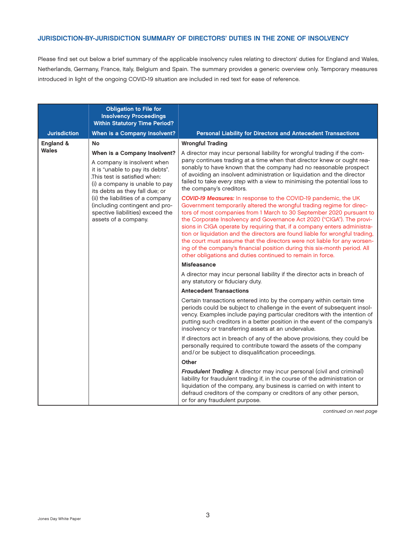# <span id="page-4-0"></span>JURISDICTION-BY-JURISDICTION SUMMARY OF DIRECTORS' DUTIES IN THE ZONE OF INSOLVENCY

Please find set out below a brief summary of the applicable insolvency rules relating to directors' duties for England and Wales, Netherlands, Germany, France, Italy, Belgium and Spain. The summary provides a generic overview only. Temporary measures introduced in light of the ongoing COVID‑19 situation are included in red text for ease of reference.

|                     | <b>Obligation to File for</b><br><b>Insolvency Proceedings</b><br><b>Within Statutory Time Period?</b>                                                                                              |                                                                                                                                                                                                                                                                                                                                                                                                                                                                                                                                                                                                                                                                                     |
|---------------------|-----------------------------------------------------------------------------------------------------------------------------------------------------------------------------------------------------|-------------------------------------------------------------------------------------------------------------------------------------------------------------------------------------------------------------------------------------------------------------------------------------------------------------------------------------------------------------------------------------------------------------------------------------------------------------------------------------------------------------------------------------------------------------------------------------------------------------------------------------------------------------------------------------|
| <b>Jurisdiction</b> | When is a Company Insolvent?                                                                                                                                                                        | <b>Personal Liability for Directors and Antecedent Transactions</b>                                                                                                                                                                                                                                                                                                                                                                                                                                                                                                                                                                                                                 |
| England &           | <b>No</b>                                                                                                                                                                                           | <b>Wrongful Trading</b>                                                                                                                                                                                                                                                                                                                                                                                                                                                                                                                                                                                                                                                             |
| Wales               | When is a Company Insolvent?<br>A company is insolvent when<br>it is "unable to pay its debts".<br>This test is satisfied when:<br>(i) a company is unable to pay<br>its debts as they fall due; or | A director may incur personal liability for wrongful trading if the com-<br>pany continues trading at a time when that director knew or ought rea-<br>sonably to have known that the company had no reasonable prospect<br>of avoiding an insolvent administration or liquidation and the director<br>failed to take every step with a view to minimising the potential loss to<br>the company's creditors.                                                                                                                                                                                                                                                                         |
|                     | (ii) the liabilities of a company<br>(including contingent and pro-<br>spective liabilities) exceed the<br>assets of a company.                                                                     | <b>COVID-19 Measures:</b> In response to the COVID-19 pandemic, the UK<br>Government temporarily altered the wrongful trading regime for direc-<br>tors of most companies from 1 March to 30 September 2020 pursuant to<br>the Corporate Insolvency and Governance Act 2020 ("CIGA"). The provi-<br>sions in CIGA operate by requiring that, if a company enters administra-<br>tion or liquidation and the directors are found liable for wrongful trading,<br>the court must assume that the directors were not liable for any worsen-<br>ing of the company's financial position during this six-month period. All<br>other obligations and duties continued to remain in force. |
|                     |                                                                                                                                                                                                     | <b>Misfeasance</b>                                                                                                                                                                                                                                                                                                                                                                                                                                                                                                                                                                                                                                                                  |
|                     |                                                                                                                                                                                                     | A director may incur personal liability if the director acts in breach of<br>any statutory or fiduciary duty.                                                                                                                                                                                                                                                                                                                                                                                                                                                                                                                                                                       |
|                     |                                                                                                                                                                                                     | <b>Antecedent Transactions</b>                                                                                                                                                                                                                                                                                                                                                                                                                                                                                                                                                                                                                                                      |
|                     |                                                                                                                                                                                                     | Certain transactions entered into by the company within certain time<br>periods could be subject to challenge in the event of subsequent insol-<br>vency. Examples include paying particular creditors with the intention of<br>putting such creditors in a better position in the event of the company's<br>insolvency or transferring assets at an undervalue.                                                                                                                                                                                                                                                                                                                    |
|                     |                                                                                                                                                                                                     | If directors act in breach of any of the above provisions, they could be<br>personally required to contribute toward the assets of the company<br>and/or be subject to disqualification proceedings.                                                                                                                                                                                                                                                                                                                                                                                                                                                                                |
|                     |                                                                                                                                                                                                     | Other                                                                                                                                                                                                                                                                                                                                                                                                                                                                                                                                                                                                                                                                               |
|                     |                                                                                                                                                                                                     | Fraudulent Trading: A director may incur personal (civil and criminal)<br>liability for fraudulent trading if, in the course of the administration or<br>liquidation of the company, any business is carried on with intent to<br>defraud creditors of the company or creditors of any other person,<br>or for any fraudulent purpose.                                                                                                                                                                                                                                                                                                                                              |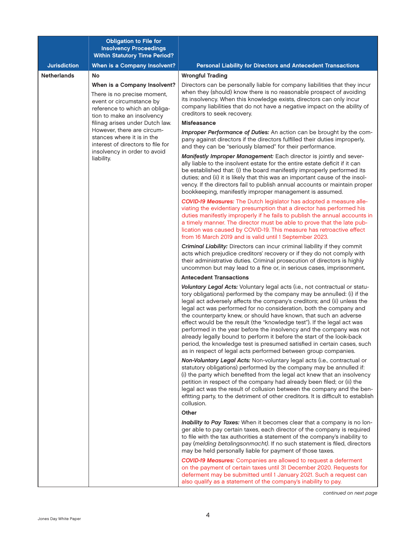<span id="page-5-0"></span>

|                     | <b>Obligation to File for</b><br><b>Insolvency Proceedings</b><br><b>Within Statutory Time Period?</b>                                                 |                                                                                                                                                                                                                                                                                                                                                                                                                                                                                                                                                                                                                                                                                                                                                      |
|---------------------|--------------------------------------------------------------------------------------------------------------------------------------------------------|------------------------------------------------------------------------------------------------------------------------------------------------------------------------------------------------------------------------------------------------------------------------------------------------------------------------------------------------------------------------------------------------------------------------------------------------------------------------------------------------------------------------------------------------------------------------------------------------------------------------------------------------------------------------------------------------------------------------------------------------------|
| <b>Jurisdiction</b> | When is a Company Insolvent?                                                                                                                           | <b>Personal Liability for Directors and Antecedent Transactions</b>                                                                                                                                                                                                                                                                                                                                                                                                                                                                                                                                                                                                                                                                                  |
| <b>Netherlands</b>  | No                                                                                                                                                     | <b>Wrongful Trading</b>                                                                                                                                                                                                                                                                                                                                                                                                                                                                                                                                                                                                                                                                                                                              |
|                     | When is a Company Insolvent?<br>There is no precise moment,<br>event or circumstance by<br>reference to which an obliga-<br>tion to make an insolvency | Directors can be personally liable for company liabilities that they incur<br>when they (should) know there is no reasonable prospect of avoiding<br>its insolvency. When this knowledge exists, directors can only incur<br>company liabilities that do not have a negative impact on the ability of<br>creditors to seek recovery.                                                                                                                                                                                                                                                                                                                                                                                                                 |
|                     | filinag arises under Dutch law.                                                                                                                        | <b>Misfeasance</b>                                                                                                                                                                                                                                                                                                                                                                                                                                                                                                                                                                                                                                                                                                                                   |
|                     | However, there are circum-<br>stances where it is in the<br>interest of directors to file for                                                          | Improper Performance of Duties: An action can be brought by the com-<br>pany against directors if the directors fulfilled their duties improperly,<br>and they can be "seriously blamed" for their performance.                                                                                                                                                                                                                                                                                                                                                                                                                                                                                                                                      |
|                     | insolvency in order to avoid<br>liability.                                                                                                             | Manifestly Improper Management: Each director is jointly and sever-<br>ally liable to the insolvent estate for the entire estate deficit if it can<br>be established that: (i) the board manifestly improperly performed its<br>duties; and (ii) it is likely that this was an important cause of the insol-<br>vency. If the directors fail to publish annual accounts or maintain proper<br>bookkeeping, manifestly improper management is assumed.                                                                                                                                                                                                                                                                                                |
|                     |                                                                                                                                                        | <b>COVID-19 Measures:</b> The Dutch legislator has adopted a measure alle-<br>viating the evidentiary presumption that a director has performed his<br>duties manifestly improperly if he fails to publish the annual accounts in<br>a timely manner. The director must be able to prove that the late pub-<br>lication was caused by COVID-19. This measure has retroactive effect<br>from 16 March 2019 and is valid until 1 September 2023.                                                                                                                                                                                                                                                                                                       |
|                     |                                                                                                                                                        | Criminal Liability: Directors can incur criminal liability if they commit<br>acts which prejudice creditors' recovery or if they do not comply with<br>their administrative duties. Criminal prosecution of directors is highly<br>uncommon but may lead to a fine or, in serious cases, imprisonment.                                                                                                                                                                                                                                                                                                                                                                                                                                               |
|                     |                                                                                                                                                        | <b>Antecedent Transactions</b>                                                                                                                                                                                                                                                                                                                                                                                                                                                                                                                                                                                                                                                                                                                       |
|                     |                                                                                                                                                        | Voluntary Legal Acts: Voluntary legal acts (i.e., not contractual or statu-<br>tory obligations) performed by the company may be annulled: (i) if the<br>legal act adversely affects the company's creditors; and (ii) unless the<br>legal act was performed for no consideration, both the company and<br>the counterparty knew, or should have known, that such an adverse<br>effect would be the result (the "knowledge test"). If the legal act was<br>performed in the year before the insolvency and the company was not<br>already legally bound to perform it before the start of the look-back<br>period, the knowledge test is presumed satisfied in certain cases, such<br>as in respect of legal acts performed between group companies. |
|                     |                                                                                                                                                        | Non-Voluntary Legal Acts: Non-voluntary legal acts (i.e., contractual or<br>statutory obligations) performed by the company may be annulled if:<br>(i) the party which benefited from the legal act knew that an insolvency<br>petition in respect of the company had already been filed; or (ii) the<br>legal act was the result of collusion between the company and the ben-<br>efitting party, to the detriment of other creditors. It is difficult to establish<br>collusion.                                                                                                                                                                                                                                                                   |
|                     |                                                                                                                                                        | Other                                                                                                                                                                                                                                                                                                                                                                                                                                                                                                                                                                                                                                                                                                                                                |
|                     |                                                                                                                                                        | Inability to Pay Taxes: When it becomes clear that a company is no lon-<br>ger able to pay certain taxes, each director of the company is required<br>to file with the tax authorities a statement of the company's inability to<br>pay (melding betalingsonmacht). If no such statement is filed, directors<br>may be held personally liable for payment of those taxes.                                                                                                                                                                                                                                                                                                                                                                            |
|                     |                                                                                                                                                        | <b>COVID-19 Measures:</b> Companies are allowed to request a deferment<br>on the payment of certain taxes until 31 December 2020. Requests for<br>deferment may be submitted until 1 January 2021. Such a request can<br>also qualify as a statement of the company's inability to pay.                                                                                                                                                                                                                                                                                                                                                                                                                                                              |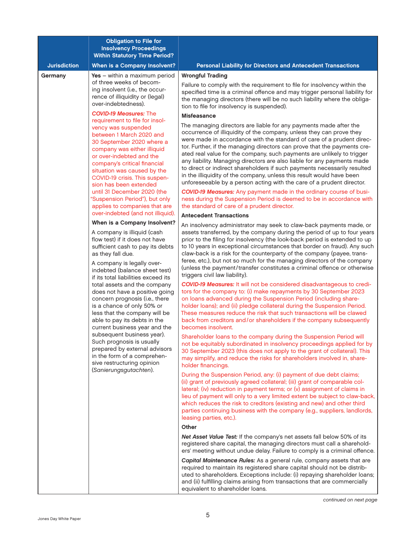<span id="page-6-0"></span>

|                                                                                                                                                                                                                                                                                                                                                                                                                                                                                                                                                                                                                                                                                     | <b>Obligation to File for</b><br><b>Insolvency Proceedings</b><br><b>Within Statutory Time Period?</b>                                                                                                                                                                                                                                                                                                                                                          |                                                                                                                                                                                                                                                                                                                                                                                                                                                                                                                                                                                                                                                                                   |
|-------------------------------------------------------------------------------------------------------------------------------------------------------------------------------------------------------------------------------------------------------------------------------------------------------------------------------------------------------------------------------------------------------------------------------------------------------------------------------------------------------------------------------------------------------------------------------------------------------------------------------------------------------------------------------------|-----------------------------------------------------------------------------------------------------------------------------------------------------------------------------------------------------------------------------------------------------------------------------------------------------------------------------------------------------------------------------------------------------------------------------------------------------------------|-----------------------------------------------------------------------------------------------------------------------------------------------------------------------------------------------------------------------------------------------------------------------------------------------------------------------------------------------------------------------------------------------------------------------------------------------------------------------------------------------------------------------------------------------------------------------------------------------------------------------------------------------------------------------------------|
| <b>Jurisdiction</b>                                                                                                                                                                                                                                                                                                                                                                                                                                                                                                                                                                                                                                                                 | When is a Company Insolvent?                                                                                                                                                                                                                                                                                                                                                                                                                                    | <b>Personal Liability for Directors and Antecedent Transactions</b>                                                                                                                                                                                                                                                                                                                                                                                                                                                                                                                                                                                                               |
| Germany                                                                                                                                                                                                                                                                                                                                                                                                                                                                                                                                                                                                                                                                             | Yes $-$ within a maximum period<br>of three weeks of becom-<br>ing insolvent (i.e., the occur-<br>rence of illiquidity or (legal)<br>over-indebtedness).                                                                                                                                                                                                                                                                                                        | <b>Wrongful Trading</b><br>Failure to comply with the requirement to file for insolvency within the<br>specified time is a criminal offence and may trigger personal liability for<br>the managing directors (there will be no such liability where the obliga-<br>tion to file for insolvency is suspended).                                                                                                                                                                                                                                                                                                                                                                     |
|                                                                                                                                                                                                                                                                                                                                                                                                                                                                                                                                                                                                                                                                                     | <b>COVID-19 Measures: The</b><br>requirement to file for insol-                                                                                                                                                                                                                                                                                                                                                                                                 | <b>Misfeasance</b>                                                                                                                                                                                                                                                                                                                                                                                                                                                                                                                                                                                                                                                                |
|                                                                                                                                                                                                                                                                                                                                                                                                                                                                                                                                                                                                                                                                                     | vency was suspended<br>between 1 March 2020 and<br>30 September 2020 where a<br>company was either illiquid<br>or over-indebted and the<br>company's critical financial<br>situation was caused by the<br>COVID-19 crisis. This suspen-<br>sion has been extended                                                                                                                                                                                               | The managing directors are liable for any payments made after the<br>occurrence of illiquidity of the company, unless they can prove they<br>were made in accordance with the standard of care of a prudent direc-<br>tor. Further, if the managing directors can prove that the payments cre-<br>ated real value for the company, such payments are unlikely to trigger<br>any liability. Managing directors are also liable for any payments made<br>to direct or indirect shareholders if such payments necessarily resulted<br>in the illiquidity of the company, unless this result would have been<br>unforeseeable by a person acting with the care of a prudent director. |
|                                                                                                                                                                                                                                                                                                                                                                                                                                                                                                                                                                                                                                                                                     | until 31 December 2020 (the<br>"Suspension Period"), but only<br>applies to companies that are                                                                                                                                                                                                                                                                                                                                                                  | COVID-19 Measures: Any payment made in the ordinary course of busi-<br>ness during the Suspension Period is deemed to be in accordance with<br>the standard of care of a prudent director.                                                                                                                                                                                                                                                                                                                                                                                                                                                                                        |
|                                                                                                                                                                                                                                                                                                                                                                                                                                                                                                                                                                                                                                                                                     | over-indebted (and not illiquid).                                                                                                                                                                                                                                                                                                                                                                                                                               | <b>Antecedent Transactions</b>                                                                                                                                                                                                                                                                                                                                                                                                                                                                                                                                                                                                                                                    |
| When is a Company Insolvent?<br>A company is illiquid (cash<br>flow test) if it does not have<br>sufficient cash to pay its debts<br>as they fall due.<br>A company is legally over-<br>indebted (balance sheet test)<br>if its total liabilities exceed its<br>total assets and the company<br>does not have a positive going<br>concern prognosis (i.e., there<br>is a chance of only 50% or<br>less that the company will be<br>able to pay its debts in the<br>current business year and the<br>subsequent business year).<br>Such prognosis is usually<br>prepared by external advisors<br>in the form of a comprehen-<br>sive restructuring opinion<br>(Sanierungsgutachten). |                                                                                                                                                                                                                                                                                                                                                                                                                                                                 | An insolvency administrator may seek to claw-back payments made, or<br>assets transferred, by the company during the period of up to four years<br>prior to the filing for insolvency (the look-back period is extended to up<br>to 10 years in exceptional circumstances that border on fraud). Any such<br>claw-back is a risk for the counterparty of the company (payee, trans-<br>feree, etc.), but not so much for the managing directors of the company<br>(unless the payment/transfer constitutes a criminal offence or otherwise<br>triggers civil law liability).                                                                                                      |
|                                                                                                                                                                                                                                                                                                                                                                                                                                                                                                                                                                                                                                                                                     | COVID-19 Measures: It will not be considered disadvantageous to credi-<br>tors for the company to: (i) make repayments by 30 September 2023<br>on loans advanced during the Suspension Period (including share-<br>holder loans); and (ii) pledge collateral during the Suspension Period.<br>These measures reduce the risk that such transactions will be clawed<br>back from creditors and/or shareholders if the company subsequently<br>becomes insolvent. |                                                                                                                                                                                                                                                                                                                                                                                                                                                                                                                                                                                                                                                                                   |
|                                                                                                                                                                                                                                                                                                                                                                                                                                                                                                                                                                                                                                                                                     |                                                                                                                                                                                                                                                                                                                                                                                                                                                                 | Shareholder loans to the company during the Suspension Period will<br>not be equitably subordinated in insolvency proceedings applied for by<br>30 September 2023 (this does not apply to the grant of collateral). This<br>may simplify, and reduce the risks for shareholders involved in, share-<br>holder financings.                                                                                                                                                                                                                                                                                                                                                         |
|                                                                                                                                                                                                                                                                                                                                                                                                                                                                                                                                                                                                                                                                                     |                                                                                                                                                                                                                                                                                                                                                                                                                                                                 | During the Suspension Period, any: (i) payment of due debt claims;<br>(ii) grant of previously agreed collateral; (iii) grant of comparable col-<br>lateral; (iv) reduction in payment terms; or (v) assignment of claims in<br>lieu of payment will only to a very limited extent be subject to claw-back,<br>which reduces the risk to creditors (existing and new) and other third<br>parties continuing business with the company (e.g., suppliers, landlords,<br>leasing parties, etc.).                                                                                                                                                                                     |
|                                                                                                                                                                                                                                                                                                                                                                                                                                                                                                                                                                                                                                                                                     |                                                                                                                                                                                                                                                                                                                                                                                                                                                                 | Other                                                                                                                                                                                                                                                                                                                                                                                                                                                                                                                                                                                                                                                                             |
|                                                                                                                                                                                                                                                                                                                                                                                                                                                                                                                                                                                                                                                                                     |                                                                                                                                                                                                                                                                                                                                                                                                                                                                 | Net Asset Value Test: If the company's net assets fall below 50% of its<br>registered share capital, the managing directors must call a sharehold-<br>ers' meeting without undue delay. Failure to comply is a criminal offence.                                                                                                                                                                                                                                                                                                                                                                                                                                                  |
|                                                                                                                                                                                                                                                                                                                                                                                                                                                                                                                                                                                                                                                                                     |                                                                                                                                                                                                                                                                                                                                                                                                                                                                 | <b>Capital Maintenance Rules:</b> As a general rule, company assets that are<br>required to maintain its registered share capital should not be distrib-<br>uted to shareholders. Exceptions include: (i) repaying shareholder loans;<br>and (ii) fulfilling claims arising from transactions that are commercially<br>equivalent to shareholder loans.                                                                                                                                                                                                                                                                                                                           |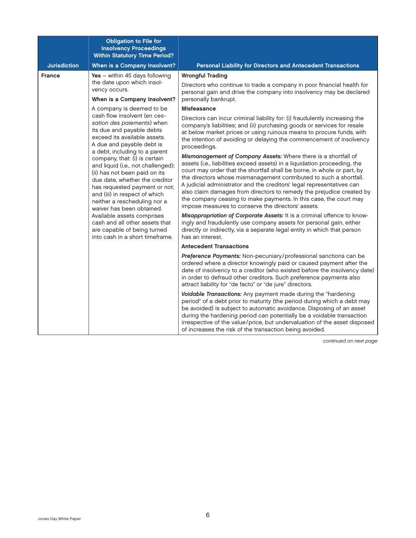<span id="page-7-0"></span>

|                                                                                                                                                                                                                                                                                                                                                                                                                                                                                                                                                                                                  | <b>Obligation to File for</b><br><b>Insolvency Proceedings</b><br><b>Within Statutory Time Period?</b>                                                                                                                                                                                                                                                                                                                                                                                                                                           |                                                                                                                                                                                                                                                                                                                                                                                                                                   |
|--------------------------------------------------------------------------------------------------------------------------------------------------------------------------------------------------------------------------------------------------------------------------------------------------------------------------------------------------------------------------------------------------------------------------------------------------------------------------------------------------------------------------------------------------------------------------------------------------|--------------------------------------------------------------------------------------------------------------------------------------------------------------------------------------------------------------------------------------------------------------------------------------------------------------------------------------------------------------------------------------------------------------------------------------------------------------------------------------------------------------------------------------------------|-----------------------------------------------------------------------------------------------------------------------------------------------------------------------------------------------------------------------------------------------------------------------------------------------------------------------------------------------------------------------------------------------------------------------------------|
| <b>Jurisdiction</b>                                                                                                                                                                                                                                                                                                                                                                                                                                                                                                                                                                              | When is a Company Insolvent?                                                                                                                                                                                                                                                                                                                                                                                                                                                                                                                     | <b>Personal Liability for Directors and Antecedent Transactions</b>                                                                                                                                                                                                                                                                                                                                                               |
| <b>France</b>                                                                                                                                                                                                                                                                                                                                                                                                                                                                                                                                                                                    | Yes $-$ within 45 days following<br>the date upon which insol-<br>vency occurs.<br>When is a Company Insolvent?                                                                                                                                                                                                                                                                                                                                                                                                                                  | <b>Wrongful Trading</b><br>Directors who continue to trade a company in poor financial health for<br>personal gain and drive the company into insolvency may be declared<br>personally bankrupt.                                                                                                                                                                                                                                  |
|                                                                                                                                                                                                                                                                                                                                                                                                                                                                                                                                                                                                  | A company is deemed to be                                                                                                                                                                                                                                                                                                                                                                                                                                                                                                                        | <b>Misfeasance</b>                                                                                                                                                                                                                                                                                                                                                                                                                |
| cash flow insolvent (en ces-<br>sation des paiements) when<br>its due and payable debts<br>exceed its available assets.<br>A due and payable debt is<br>a debt, including to a parent<br>company, that: (i) is certain<br>and liquid (i.e., not challenged);<br>(ii) has not been paid on its<br>due date, whether the creditor<br>has requested payment or not;<br>and (iii) in respect of which<br>neither a rescheduling nor a<br>waiver has been obtained.<br>Available assets comprises<br>cash and all other assets that<br>are capable of being turned<br>into cash in a short timeframe. | Directors can incur criminal liability for: (i) fraudulently increasing the<br>company's liabilities; and (ii) purchasing goods or services for resale<br>at below market prices or using ruinous means to procure funds, with<br>the intention of avoiding or delaying the commencement of insolvency<br>proceedings.<br>Mismanagement of Company Assets: Where there is a shortfall of<br>assets (i.e., liabilities exceed assets) in a liquidation proceeding, the<br>court may order that the shortfall shall be borne, in whole or part, by |                                                                                                                                                                                                                                                                                                                                                                                                                                   |
|                                                                                                                                                                                                                                                                                                                                                                                                                                                                                                                                                                                                  | the directors whose mismanagement contributed to such a shortfall.<br>A judicial administrator and the creditors' legal representatives can<br>also claim damages from directors to remedy the prejudice created by<br>the company ceasing to make payments. In this case, the court may<br>impose measures to conserve the directors' assets.                                                                                                                                                                                                   |                                                                                                                                                                                                                                                                                                                                                                                                                                   |
|                                                                                                                                                                                                                                                                                                                                                                                                                                                                                                                                                                                                  | Misappropriation of Corporate Assets: It is a criminal offence to know-<br>ingly and fraudulently use company assets for personal gain, either<br>directly or indirectly, via a separate legal entity in which that person<br>has an interest.                                                                                                                                                                                                                                                                                                   |                                                                                                                                                                                                                                                                                                                                                                                                                                   |
|                                                                                                                                                                                                                                                                                                                                                                                                                                                                                                                                                                                                  | <b>Antecedent Transactions</b>                                                                                                                                                                                                                                                                                                                                                                                                                                                                                                                   |                                                                                                                                                                                                                                                                                                                                                                                                                                   |
|                                                                                                                                                                                                                                                                                                                                                                                                                                                                                                                                                                                                  |                                                                                                                                                                                                                                                                                                                                                                                                                                                                                                                                                  | Preference Payments: Non-pecuniary/professional sanctions can be<br>ordered where a director knowingly paid or caused payment after the<br>date of insolvency to a creditor (who existed before the insolvency date)<br>in order to defraud other creditors. Such preference payments also<br>attract liability for "de facto" or "de jure" directors.                                                                            |
|                                                                                                                                                                                                                                                                                                                                                                                                                                                                                                                                                                                                  |                                                                                                                                                                                                                                                                                                                                                                                                                                                                                                                                                  | Voidable Transactions: Any payment made during the "hardening<br>period" of a debt prior to maturity (the period during which a debt may<br>be avoided) is subject to automatic avoidance. Disposing of an asset<br>during the hardening period can potentially be a voidable transaction<br>irrespective of the value/price, but undervaluation of the asset disposed<br>of increases the risk of the transaction being avoided. |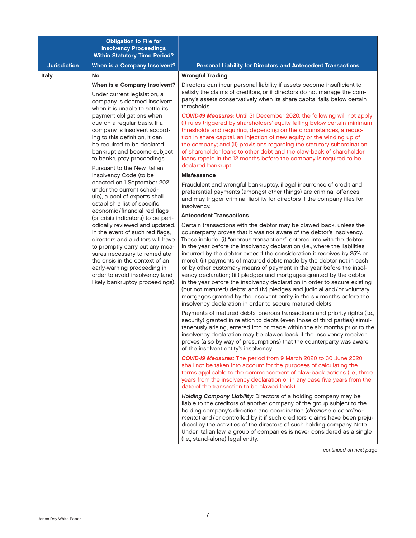<span id="page-8-0"></span>

|                     | <b>Obligation to File for</b><br><b>Insolvency Proceedings</b><br><b>Within Statutory Time Period?</b>                                                                                                                                                                                                                                               |                                                                                                                                                                                                                                                                                                                                                                                                                                                                                                                                                                                                                                                                                                                                                                                                                                                                                                     |
|---------------------|------------------------------------------------------------------------------------------------------------------------------------------------------------------------------------------------------------------------------------------------------------------------------------------------------------------------------------------------------|-----------------------------------------------------------------------------------------------------------------------------------------------------------------------------------------------------------------------------------------------------------------------------------------------------------------------------------------------------------------------------------------------------------------------------------------------------------------------------------------------------------------------------------------------------------------------------------------------------------------------------------------------------------------------------------------------------------------------------------------------------------------------------------------------------------------------------------------------------------------------------------------------------|
| <b>Jurisdiction</b> | When is a Company Insolvent?                                                                                                                                                                                                                                                                                                                         | <b>Personal Liability for Directors and Antecedent Transactions</b>                                                                                                                                                                                                                                                                                                                                                                                                                                                                                                                                                                                                                                                                                                                                                                                                                                 |
| <b>Italy</b>        | No                                                                                                                                                                                                                                                                                                                                                   | <b>Wrongful Trading</b>                                                                                                                                                                                                                                                                                                                                                                                                                                                                                                                                                                                                                                                                                                                                                                                                                                                                             |
|                     | When is a Company Insolvent?                                                                                                                                                                                                                                                                                                                         | Directors can incur personal liability if assets become insufficient to                                                                                                                                                                                                                                                                                                                                                                                                                                                                                                                                                                                                                                                                                                                                                                                                                             |
|                     | Under current legislation, a<br>company is deemed insolvent<br>when it is unable to settle its<br>payment obligations when<br>due on a regular basis. If a<br>company is insolvent accord-<br>ing to this definition, it can<br>be required to be declared<br>bankrupt and become subject<br>to bankruptcy proceedings.                              | satisfy the claims of creditors, or if directors do not manage the com-<br>pany's assets conservatively when its share capital falls below certain<br>thresholds.                                                                                                                                                                                                                                                                                                                                                                                                                                                                                                                                                                                                                                                                                                                                   |
|                     |                                                                                                                                                                                                                                                                                                                                                      | <b>COVID-19 Measures:</b> Until 31 December 2020, the following will not apply:<br>(i) rules triggered by shareholders' equity falling below certain minimum<br>thresholds and requiring, depending on the circumstances, a reduc-<br>tion in share capital, an injection of new equity or the winding up of<br>the company; and (ii) provisions regarding the statutory subordination<br>of shareholder loans to other debt and the claw-back of shareholder<br>loans repaid in the 12 months before the company is required to be<br>declared bankrupt.                                                                                                                                                                                                                                                                                                                                           |
|                     | Pursuant to the New Italian<br>Insolvency Code (to be                                                                                                                                                                                                                                                                                                | <b>Misfeasance</b>                                                                                                                                                                                                                                                                                                                                                                                                                                                                                                                                                                                                                                                                                                                                                                                                                                                                                  |
|                     | enacted on 1 September 2021<br>under the current sched-<br>ule), a pool of experts shall<br>establish a list of specific                                                                                                                                                                                                                             | Fraudulent and wrongful bankruptcy, illegal incurrence of credit and<br>preferential payments (amongst other things) are criminal offences<br>and may trigger criminal liability for directors if the company files for<br>insolvency.                                                                                                                                                                                                                                                                                                                                                                                                                                                                                                                                                                                                                                                              |
|                     | economic/financial red flags                                                                                                                                                                                                                                                                                                                         | <b>Antecedent Transactions</b>                                                                                                                                                                                                                                                                                                                                                                                                                                                                                                                                                                                                                                                                                                                                                                                                                                                                      |
|                     | (or crisis indicators) to be peri-<br>odically reviewed and updated.<br>In the event of such red flags,<br>directors and auditors will have<br>to promptly carry out any mea-<br>sures necessary to remediate<br>the crisis in the context of an<br>early-warning proceeding in<br>order to avoid insolvency (and<br>likely bankruptcy proceedings). | Certain transactions with the debtor may be clawed back, unless the<br>counterparty proves that it was not aware of the debtor's insolvency.<br>These include: (i) "onerous transactions" entered into with the debtor<br>in the year before the insolvency declaration (i.e., where the liabilities<br>incurred by the debtor exceed the consideration it receives by 25% or<br>more); (ii) payments of matured debts made by the debtor not in cash<br>or by other customary means of payment in the year before the insol-<br>vency declaration; (iii) pledges and mortgages granted by the debtor<br>in the year before the insolvency declaration in order to secure existing<br>(but not matured) debts; and (iv) pledges and judicial and/or voluntary<br>mortgages granted by the insolvent entity in the six months before the<br>insolvency declaration in order to secure matured debts. |
|                     |                                                                                                                                                                                                                                                                                                                                                      | Payments of matured debts, onerous transactions and priority rights (i.e.,<br>security) granted in relation to debts (even those of third parties) simul-<br>taneously arising, entered into or made within the six months prior to the<br>insolvency declaration may be clawed back if the insolvency receiver<br>proves (also by way of presumptions) that the counterparty was aware<br>of the insolvent entity's insolvency.                                                                                                                                                                                                                                                                                                                                                                                                                                                                    |
|                     |                                                                                                                                                                                                                                                                                                                                                      | COVID-19 Measures: The period from 9 March 2020 to 30 June 2020<br>shall not be taken into account for the purposes of calculating the<br>terms applicable to the commencement of claw-back actions (i.e., three<br>years from the insolvency declaration or in any case five years from the<br>date of the transaction to be clawed back).                                                                                                                                                                                                                                                                                                                                                                                                                                                                                                                                                         |
|                     |                                                                                                                                                                                                                                                                                                                                                      | Holding Company Liability: Directors of a holding company may be<br>liable to the creditors of another company of the group subject to the<br>holding company's direction and coordination (direzione e coordina-<br>mento) and/or controlled by it if such creditors' claims have been preju-<br>diced by the activities of the directors of such holding company. Note:<br>Under Italian law, a group of companies is never considered as a single<br>(i.e., stand-alone) legal entity.                                                                                                                                                                                                                                                                                                                                                                                                           |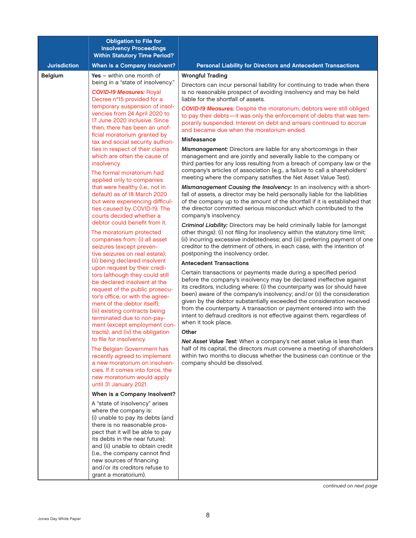<span id="page-9-0"></span>

| <b>Jurisdiction</b><br>When is a Company Insolvent?<br><b>Personal Liability for Directors and Antecedent Transactions</b><br>Yes $-$ within one month of<br><b>Belgium</b><br><b>Wrongful Trading</b><br>being in a "state of insolvency."<br>Directors can incur personal liability for continuing to trade when there<br>is no reasonable prospect of avoiding insolvency and may be held<br><b>COVID-19 Measures: Royal</b><br>Decree n°15 provided for a<br>liable for the shortfall of assets.<br>temporary suspension of insol-<br><b>COVID-19 Measures:</b> Despite the moratorium, debtors were still obliged<br>vencies from 24 April 2020 to<br>17 June 2020 inclusive. Since<br>porarily suspended. Interest on debt and arrears continued to accrue<br>then, there has been an unof-<br>and became due when the moratorium ended.<br>ficial moratorium granted by<br><b>Misfeasance</b><br>tax and social security authori-<br>ties in respect of their claims<br>Mismanagement: Directors are liable for any shortcomings in their<br>which are often the cause of<br>management and are jointly and severally liable to the company or<br>insolvency.<br>company's articles of association (e.g., a failure to call a shareholders'<br>The formal moratorium had<br>meeting where the company satisfies the Net Asset Value Test).<br>applied only to companies<br>that were healthy (i.e., not in<br>fall of assets, a director may be held personally liable for the liabilities<br>default) as of 18 March 2020<br>but were experiencing difficul-<br>the director committed serious misconduct which contributed to the<br>ties caused by COVID-19. The<br>courts decided whether a<br>company's insolvency.<br>debtor could benefit from it.<br><b>Criminal Liability:</b> Directors may be held criminally liable for (amongst<br>other things): (i) not filing for insolvency within the statutory time limit;<br>The moratorium protected<br>companies from: (i) all asset<br>seizures (except preven-<br>creditor to the detriment of others, in each case, with the intention of<br>tive seizures on real estate);<br>postponing the insolvency order.<br>(ii) being declared insolvent<br><b>Antecedent Transactions</b><br>upon request by their credi-<br>Certain transactions or payments made during a specified period<br>tors (although they could still<br>before the company's insolvency may be declared ineffective against<br>be declared insolvent at the<br>its creditors, including where: (i) the counterparty was (or should have<br>request of the public prosecu-<br>been) aware of the company's insolvency; and/or (ii) the consideration<br>tor's office, or with the agree-<br>given by the debtor substantially exceeded the consideration received<br>ment of the debtor itself);<br>from the counterparty. A transaction or payment entered into with the<br>(iii) existing contracts being<br>intent to defraud creditors is not effective against them, regardless of<br>terminated due to non-pay-<br>when it took place.<br>ment (except employment con-<br>Other<br>tracts); and (iv) the obligation<br>to file for insolvency.<br><b>Net Asset Value Test:</b> When a company's net asset value is less than<br>The Belgian Government has<br>recently agreed to implement<br>a new moratorium on insolven-<br>company should be dissolved.<br>cies. If it comes into force, the<br>new moratorium would apply<br>until 31 January 2021.<br>When is a Company Insolvent?<br>A "state of insolvency" arises<br>where the company is:<br>(i) unable to pay its debts (and<br>there is no reasonable pros-<br>pect that it will be able to pay<br>its debts in the near future);<br>and (ii) unable to obtain credit<br>(i.e., the company cannot find<br>new sources of financing | <b>Obligation to File for</b><br><b>Insolvency Proceedings</b><br><b>Within Statutory Time Period?</b> |                                                                                                                                                    |
|------------------------------------------------------------------------------------------------------------------------------------------------------------------------------------------------------------------------------------------------------------------------------------------------------------------------------------------------------------------------------------------------------------------------------------------------------------------------------------------------------------------------------------------------------------------------------------------------------------------------------------------------------------------------------------------------------------------------------------------------------------------------------------------------------------------------------------------------------------------------------------------------------------------------------------------------------------------------------------------------------------------------------------------------------------------------------------------------------------------------------------------------------------------------------------------------------------------------------------------------------------------------------------------------------------------------------------------------------------------------------------------------------------------------------------------------------------------------------------------------------------------------------------------------------------------------------------------------------------------------------------------------------------------------------------------------------------------------------------------------------------------------------------------------------------------------------------------------------------------------------------------------------------------------------------------------------------------------------------------------------------------------------------------------------------------------------------------------------------------------------------------------------------------------------------------------------------------------------------------------------------------------------------------------------------------------------------------------------------------------------------------------------------------------------------------------------------------------------------------------------------------------------------------------------------------------------------------------------------------------------------------------------------------------------------------------------------------------------------------------------------------------------------------------------------------------------------------------------------------------------------------------------------------------------------------------------------------------------------------------------------------------------------------------------------------------------------------------------------------------------------------------------------------------------------------------------------------------------------------------------------------------------------------------------------------------------------------------------------------------------------------------------------------------------------------------------------------------------------------------------------------------------------------------------------------------------------------------------------------------------------------------------------------------------------------------------------------------------------------------------------------------------------------------------------------------------------------|--------------------------------------------------------------------------------------------------------|----------------------------------------------------------------------------------------------------------------------------------------------------|
|                                                                                                                                                                                                                                                                                                                                                                                                                                                                                                                                                                                                                                                                                                                                                                                                                                                                                                                                                                                                                                                                                                                                                                                                                                                                                                                                                                                                                                                                                                                                                                                                                                                                                                                                                                                                                                                                                                                                                                                                                                                                                                                                                                                                                                                                                                                                                                                                                                                                                                                                                                                                                                                                                                                                                                                                                                                                                                                                                                                                                                                                                                                                                                                                                                                                                                                                                                                                                                                                                                                                                                                                                                                                                                                                                                                                                                          |                                                                                                        |                                                                                                                                                    |
|                                                                                                                                                                                                                                                                                                                                                                                                                                                                                                                                                                                                                                                                                                                                                                                                                                                                                                                                                                                                                                                                                                                                                                                                                                                                                                                                                                                                                                                                                                                                                                                                                                                                                                                                                                                                                                                                                                                                                                                                                                                                                                                                                                                                                                                                                                                                                                                                                                                                                                                                                                                                                                                                                                                                                                                                                                                                                                                                                                                                                                                                                                                                                                                                                                                                                                                                                                                                                                                                                                                                                                                                                                                                                                                                                                                                                                          |                                                                                                        |                                                                                                                                                    |
|                                                                                                                                                                                                                                                                                                                                                                                                                                                                                                                                                                                                                                                                                                                                                                                                                                                                                                                                                                                                                                                                                                                                                                                                                                                                                                                                                                                                                                                                                                                                                                                                                                                                                                                                                                                                                                                                                                                                                                                                                                                                                                                                                                                                                                                                                                                                                                                                                                                                                                                                                                                                                                                                                                                                                                                                                                                                                                                                                                                                                                                                                                                                                                                                                                                                                                                                                                                                                                                                                                                                                                                                                                                                                                                                                                                                                                          |                                                                                                        | to pay their debts-it was only the enforcement of debts that was tem-                                                                              |
|                                                                                                                                                                                                                                                                                                                                                                                                                                                                                                                                                                                                                                                                                                                                                                                                                                                                                                                                                                                                                                                                                                                                                                                                                                                                                                                                                                                                                                                                                                                                                                                                                                                                                                                                                                                                                                                                                                                                                                                                                                                                                                                                                                                                                                                                                                                                                                                                                                                                                                                                                                                                                                                                                                                                                                                                                                                                                                                                                                                                                                                                                                                                                                                                                                                                                                                                                                                                                                                                                                                                                                                                                                                                                                                                                                                                                                          |                                                                                                        | third parties for any loss resulting from a breach of company law or the                                                                           |
|                                                                                                                                                                                                                                                                                                                                                                                                                                                                                                                                                                                                                                                                                                                                                                                                                                                                                                                                                                                                                                                                                                                                                                                                                                                                                                                                                                                                                                                                                                                                                                                                                                                                                                                                                                                                                                                                                                                                                                                                                                                                                                                                                                                                                                                                                                                                                                                                                                                                                                                                                                                                                                                                                                                                                                                                                                                                                                                                                                                                                                                                                                                                                                                                                                                                                                                                                                                                                                                                                                                                                                                                                                                                                                                                                                                                                                          |                                                                                                        | Mismanagement Causing the Insolvency: In an insolvency with a short-<br>of the company up to the amount of the shortfall if it is established that |
|                                                                                                                                                                                                                                                                                                                                                                                                                                                                                                                                                                                                                                                                                                                                                                                                                                                                                                                                                                                                                                                                                                                                                                                                                                                                                                                                                                                                                                                                                                                                                                                                                                                                                                                                                                                                                                                                                                                                                                                                                                                                                                                                                                                                                                                                                                                                                                                                                                                                                                                                                                                                                                                                                                                                                                                                                                                                                                                                                                                                                                                                                                                                                                                                                                                                                                                                                                                                                                                                                                                                                                                                                                                                                                                                                                                                                                          |                                                                                                        | (ii) incurring excessive indebtedness; and (iii) preferring payment of one                                                                         |
|                                                                                                                                                                                                                                                                                                                                                                                                                                                                                                                                                                                                                                                                                                                                                                                                                                                                                                                                                                                                                                                                                                                                                                                                                                                                                                                                                                                                                                                                                                                                                                                                                                                                                                                                                                                                                                                                                                                                                                                                                                                                                                                                                                                                                                                                                                                                                                                                                                                                                                                                                                                                                                                                                                                                                                                                                                                                                                                                                                                                                                                                                                                                                                                                                                                                                                                                                                                                                                                                                                                                                                                                                                                                                                                                                                                                                                          |                                                                                                        |                                                                                                                                                    |
|                                                                                                                                                                                                                                                                                                                                                                                                                                                                                                                                                                                                                                                                                                                                                                                                                                                                                                                                                                                                                                                                                                                                                                                                                                                                                                                                                                                                                                                                                                                                                                                                                                                                                                                                                                                                                                                                                                                                                                                                                                                                                                                                                                                                                                                                                                                                                                                                                                                                                                                                                                                                                                                                                                                                                                                                                                                                                                                                                                                                                                                                                                                                                                                                                                                                                                                                                                                                                                                                                                                                                                                                                                                                                                                                                                                                                                          |                                                                                                        |                                                                                                                                                    |
|                                                                                                                                                                                                                                                                                                                                                                                                                                                                                                                                                                                                                                                                                                                                                                                                                                                                                                                                                                                                                                                                                                                                                                                                                                                                                                                                                                                                                                                                                                                                                                                                                                                                                                                                                                                                                                                                                                                                                                                                                                                                                                                                                                                                                                                                                                                                                                                                                                                                                                                                                                                                                                                                                                                                                                                                                                                                                                                                                                                                                                                                                                                                                                                                                                                                                                                                                                                                                                                                                                                                                                                                                                                                                                                                                                                                                                          |                                                                                                        |                                                                                                                                                    |
|                                                                                                                                                                                                                                                                                                                                                                                                                                                                                                                                                                                                                                                                                                                                                                                                                                                                                                                                                                                                                                                                                                                                                                                                                                                                                                                                                                                                                                                                                                                                                                                                                                                                                                                                                                                                                                                                                                                                                                                                                                                                                                                                                                                                                                                                                                                                                                                                                                                                                                                                                                                                                                                                                                                                                                                                                                                                                                                                                                                                                                                                                                                                                                                                                                                                                                                                                                                                                                                                                                                                                                                                                                                                                                                                                                                                                                          |                                                                                                        | half of its capital, the directors must convene a meeting of shareholders<br>within two months to discuss whether the business can continue or the |
|                                                                                                                                                                                                                                                                                                                                                                                                                                                                                                                                                                                                                                                                                                                                                                                                                                                                                                                                                                                                                                                                                                                                                                                                                                                                                                                                                                                                                                                                                                                                                                                                                                                                                                                                                                                                                                                                                                                                                                                                                                                                                                                                                                                                                                                                                                                                                                                                                                                                                                                                                                                                                                                                                                                                                                                                                                                                                                                                                                                                                                                                                                                                                                                                                                                                                                                                                                                                                                                                                                                                                                                                                                                                                                                                                                                                                                          |                                                                                                        |                                                                                                                                                    |
| and/or its creditors refuse to<br>grant a moratorium).                                                                                                                                                                                                                                                                                                                                                                                                                                                                                                                                                                                                                                                                                                                                                                                                                                                                                                                                                                                                                                                                                                                                                                                                                                                                                                                                                                                                                                                                                                                                                                                                                                                                                                                                                                                                                                                                                                                                                                                                                                                                                                                                                                                                                                                                                                                                                                                                                                                                                                                                                                                                                                                                                                                                                                                                                                                                                                                                                                                                                                                                                                                                                                                                                                                                                                                                                                                                                                                                                                                                                                                                                                                                                                                                                                                   |                                                                                                        |                                                                                                                                                    |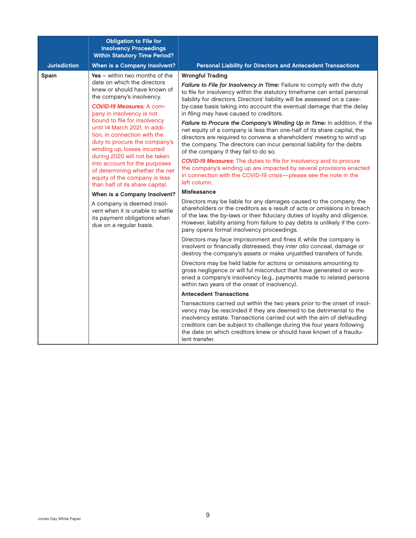<span id="page-10-0"></span>

|                     | <b>Obligation to File for</b><br><b>Insolvency Proceedings</b><br><b>Within Statutory Time Period?</b>                                                                                         |                                                                                                                                                                                                                                                                                                                                                                                             |
|---------------------|------------------------------------------------------------------------------------------------------------------------------------------------------------------------------------------------|---------------------------------------------------------------------------------------------------------------------------------------------------------------------------------------------------------------------------------------------------------------------------------------------------------------------------------------------------------------------------------------------|
| <b>Jurisdiction</b> | When is a Company Insolvent?                                                                                                                                                                   | <b>Personal Liability for Directors and Antecedent Transactions</b>                                                                                                                                                                                                                                                                                                                         |
| Spain               | Yes $-$ within two months of the<br>date on which the directors<br>knew or should have known of<br>the company's insolvency.<br><b>COVID-19 Measures: A com-</b><br>pany in insolvency is not  | <b>Wrongful Trading</b><br>Failure to File for Insolvency in Time: Failure to comply with the duty<br>to file for insolvency within the statutory timeframe can entail personal<br>liability for directors. Directors' liability will be assessed on a case-<br>by-case basis taking into account the eventual damage that the delay<br>in filing may have caused to creditors.             |
|                     | bound to file for insolvency<br>until 14 March 2021. In addi-<br>tion, in connection with the<br>duty to procure the company's<br>winding up, losses incurred<br>during 2020 will not be taken | Failure to Procure the Company's Winding Up in Time: In addition, if the<br>net equity of a company is less than one-half of its share capital, the<br>directors are required to convene a shareholders' meeting to wind up<br>the company. The directors can incur personal liability for the debts<br>of the company if they fail to do so.                                               |
|                     | into account for the purposes<br>of determining whether the net<br>equity of the company is less<br>than half of its share capital.                                                            | <b>COVID-19 Measures:</b> The duties to file for insolvency and to procure<br>the company's winding up are impacted by several provisions enacted<br>in connection with the COVID-19 crisis-please see the note in the<br>left column.                                                                                                                                                      |
|                     | When is a Company Insolvent?                                                                                                                                                                   | <b>Misfeasance</b>                                                                                                                                                                                                                                                                                                                                                                          |
|                     | A company is deemed insol-<br>vent when it is unable to settle<br>its payment obligations when<br>due on a regular basis.                                                                      | Directors may be liable for any damages caused to the company, the<br>shareholders or the creditors as a result of acts or omissions in breach<br>of the law, the by-laws or their fiduciary duties of loyalty and diligence.<br>However, liability arising from failure to pay debts is unlikely if the com-<br>pany opens formal insolvency proceedings.                                  |
|                     |                                                                                                                                                                                                | Directors may face imprisonment and fines if, while the company is<br>insolvent or financially distressed, they inter alia conceal, damage or<br>destroy the company's assets or make unjustified transfers of funds.                                                                                                                                                                       |
|                     |                                                                                                                                                                                                | Directors may be held liable for actions or omissions amounting to<br>gross negligence or will ful misconduct that have generated or wors-<br>ened a company's insolvency (e.g., payments made to related persons<br>within two years of the onset of insolvency).                                                                                                                          |
|                     |                                                                                                                                                                                                | <b>Antecedent Transactions</b>                                                                                                                                                                                                                                                                                                                                                              |
|                     |                                                                                                                                                                                                | Transactions carried out within the two years prior to the onset of insol-<br>vency may be rescinded if they are deemed to be detrimental to the<br>insolvency estate. Transactions carried out with the aim of defrauding<br>creditors can be subject to challenge during the four years following<br>the date on which creditors knew or should have known of a fraudu-<br>lent transfer. |